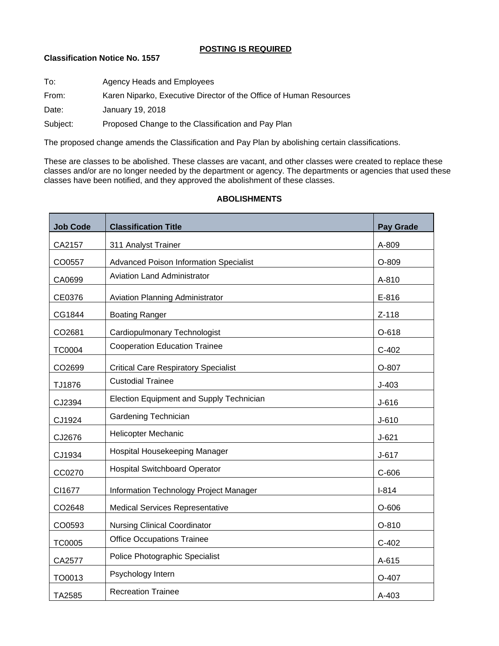## **POSTING IS REQUIRED**

## **Classification Notice No. 1557**

| To:      | Agency Heads and Employees                                         |
|----------|--------------------------------------------------------------------|
| From:    | Karen Niparko, Executive Director of the Office of Human Resources |
| Date:    | January 19, 2018                                                   |
| Subject: | Proposed Change to the Classification and Pay Plan                 |
|          |                                                                    |

The proposed change amends the Classification and Pay Plan by abolishing certain classifications.

These are classes to be abolished. These classes are vacant, and other classes were created to replace these classes and/or are no longer needed by the department or agency. The departments or agencies that used these classes have been notified, and they approved the abolishment of these classes.

# **Job Code Classification Title Pay Grade** CA2157 311 Analyst Trainer A-809 311 Analyst Trainer A-809 CO0557 Advanced Poison Information Specialist O-809 CA0699 Aviation Land Administrator **A-810** CE0376 | Aviation Planning Administrator | E-816 CG1844 Boating Ranger New York 2-118 CO2681 Cardiopulmonary Technologist CO2681 C-618 TC0004 Cooperation Education Trainee C-402 CO2699 Critical Care Respiratory Specialist O-807 TJ1876 Custodial Trainee Custodial Trainee CJ2394 Election Equipment and Supply Technician distribution and  $\big|$  J-616 CJ1924 Gardening Technician J-610 CJ2676 Helicopter Mechanic **CJ2676** J-621 CJ1934 Hospital Housekeeping Manager **J**<sub>J-617</sub> CC0270 | Hospital Switchboard Operator | C-606 CI1677 | Information Technology Project Manager | I-814 CO2648 Medical Services Representative CO2648 O-606 CO0593 Nursing Clinical Coordinator Contact Contact Contact Contact Contact Contact Contact Contact Contact Co TC0005 | Office Occupations Trainee | C-402 CA2577 Police Photographic Specialist CA2577 A-615 TO0013 Psychology Intern **Provide the Contract of Contract Contract Contract Contract Contract Contract Contract Contract Contract Contract Contract Contract Contract Contract Contract Contract Contract Contract Contract C**

TA2585 Recreation Trainee A-403

## **ABOLISHMENTS**